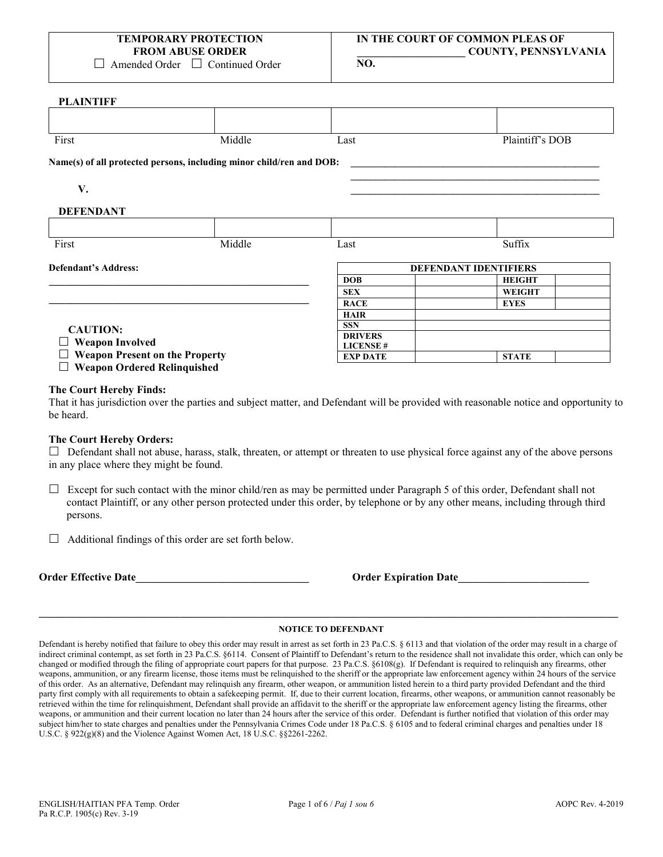$\Box$  Amended Order  $\Box$  Continued Order

**PLAINTIFF**

| 1 санчиг                                                        |                                                                      |                              |                 |  |
|-----------------------------------------------------------------|----------------------------------------------------------------------|------------------------------|-----------------|--|
|                                                                 |                                                                      |                              |                 |  |
| First                                                           | Middle                                                               | Last                         | Plaintiff's DOB |  |
|                                                                 | Name(s) of all protected persons, including minor child/ren and DOB: |                              |                 |  |
| V.                                                              |                                                                      |                              |                 |  |
| <b>DEFENDANT</b>                                                |                                                                      |                              |                 |  |
|                                                                 |                                                                      |                              |                 |  |
| First                                                           | Middle                                                               | Last                         | Suffix          |  |
| <b>Defendant's Address:</b>                                     |                                                                      | <b>DEFENDANT IDENTIFIERS</b> |                 |  |
|                                                                 |                                                                      | <b>DOB</b>                   | <b>HEIGHT</b>   |  |
|                                                                 |                                                                      | <b>SEX</b>                   | <b>WEIGHT</b>   |  |
|                                                                 |                                                                      | <b>RACE</b>                  | <b>EYES</b>     |  |
|                                                                 |                                                                      | <b>HAIR</b>                  |                 |  |
| <b>CAUTION:</b>                                                 |                                                                      | <b>SSN</b>                   |                 |  |
| <b>Weapon Involved</b><br><b>Weapon Present on the Property</b> |                                                                      | <b>DRIVERS</b>               |                 |  |
|                                                                 |                                                                      | <b>LICENSE#</b>              |                 |  |
|                                                                 |                                                                      | <b>EXP DATE</b>              | <b>STATE</b>    |  |
| <b>Weapon Ordered Relinquished</b>                              |                                                                      |                              |                 |  |

### **The Court Hereby Finds:**

That it has jurisdiction over the parties and subject matter, and Defendant will be provided with reasonable notice and opportunity to be heard.

### **The Court Hereby Orders:**

 $\Box$  Defendant shall not abuse, harass, stalk, threaten, or attempt or threaten to use physical force against any of the above persons in any place where they might be found.

- $\Box$  Except for such contact with the minor child/ren as may be permitted under Paragraph 5 of this order, Defendant shall not contact Plaintiff, or any other person protected under this order, by telephone or by any other means, including through third persons.
- $\Box$  Additional findings of this order are set forth below.

**Order Effective Date\_\_\_\_\_\_\_\_\_\_\_\_\_\_\_\_\_\_\_\_\_\_\_\_\_\_\_\_\_\_\_\_ Order Expiration Date\_\_\_\_\_\_\_\_\_\_\_\_\_\_\_\_\_\_\_\_\_\_\_\_** 

## **\_\_\_\_\_\_\_\_\_\_\_\_\_\_\_\_\_\_\_\_\_\_\_\_\_\_\_\_\_\_\_\_\_\_\_\_\_\_\_\_\_\_\_\_\_\_\_\_\_\_\_\_\_\_\_\_\_\_\_\_\_\_\_\_\_\_\_\_\_\_\_\_\_\_\_\_\_\_\_\_\_\_\_\_\_\_\_\_\_\_\_\_\_\_\_\_\_\_\_\_\_\_\_\_\_\_\_ NOTICE TO DEFENDANT**

Defendant is hereby notified that failure to obey this order may result in arrest as set forth in 23 Pa.C.S. § 6113 and that violation of the order may result in a charge of indirect criminal contempt, as set forth in 23 Pa.C.S. §6114. Consent of Plaintiff to Defendant's return to the residence shall not invalidate this order, which can only be changed or modified through the filing of appropriate court papers for that purpose. 23 Pa.C.S. §6108(g). If Defendant is required to relinquish any firearms, other weapons, ammunition, or any firearm license, those items must be relinquished to the sheriff or the appropriate law enforcement agency within 24 hours of the service of this order. As an alternative, Defendant may relinquish any firearm, other weapon, or ammunition listed herein to a third party provided Defendant and the third party first comply with all requirements to obtain a safekeeping permit. If, due to their current location, firearms, other weapons, or ammunition cannot reasonably be retrieved within the time for relinquishment, Defendant shall provide an affidavit to the sheriff or the appropriate law enforcement agency listing the firearms, other weapons, or ammunition and their current location no later than 24 hours after the service of this order. Defendant is further notified that violation of this order may subject him/her to state charges and penalties under the Pennsylvania Crimes Code under 18 Pa.C.S. § 6105 and to federal criminal charges and penalties under 18 U.S.C. § 922(g)(8) and the Violence Against Women Act, 18 U.S.C. §§2261-2262.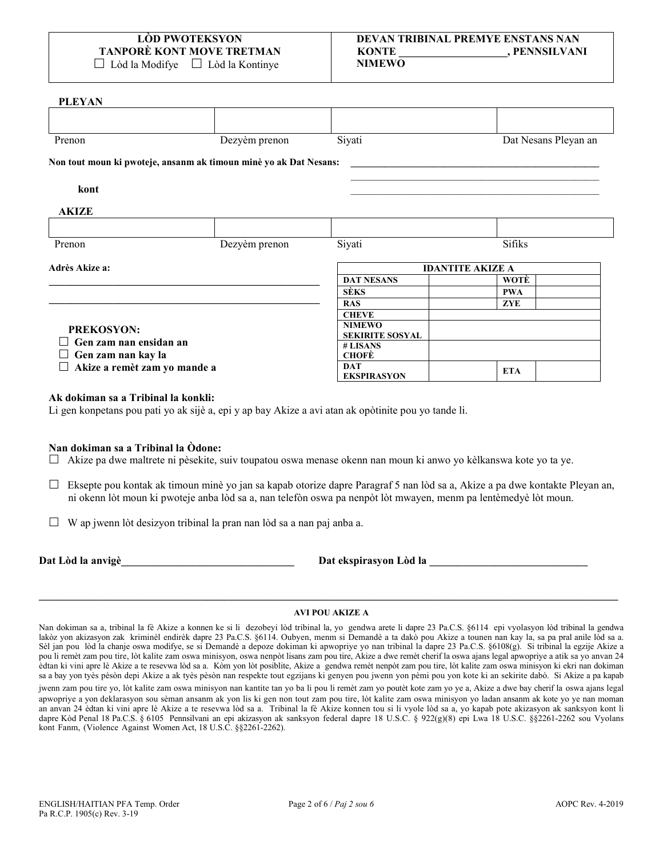# LÒD PWOTEKSVON **TANPORÈ KONT MOVE TRETMAN**

 $\Box$  Lòd la Modifye  $\Box$  Lòd la Kontinye

### DEVAN TRIBINAL PREMYE ENSTANS NAN **KONTE** . PENNSILVANI **NIMEWO**

### **PLEYAN**

| Prenon                                             | Dezyèm prenon                                                     | Siyati                     | Dat Nesans Pleyan an    |  |
|----------------------------------------------------|-------------------------------------------------------------------|----------------------------|-------------------------|--|
|                                                    | Non tout moun ki pwoteje, ansanm ak timoun minè yo ak Dat Nesans: |                            |                         |  |
| kont                                               |                                                                   |                            |                         |  |
| <b>AKIZE</b>                                       |                                                                   |                            |                         |  |
| Prenon                                             | Dezyèm prenon                                                     | Siyati                     | Sifiks                  |  |
| Adrès Akize a:                                     |                                                                   |                            | <b>IDANTITE AKIZE A</b> |  |
|                                                    |                                                                   | <b>DAT NESANS</b>          | WOTÈ                    |  |
|                                                    |                                                                   | <b>SÈKS</b>                | <b>PWA</b>              |  |
|                                                    |                                                                   | <b>RAS</b>                 | <b>ZYE</b>              |  |
|                                                    |                                                                   | <b>CHEVE</b>               |                         |  |
| <b>PREKOSYON:</b><br>Gen zam nan ensidan an        |                                                                   | <b>NIMEWO</b>              |                         |  |
|                                                    |                                                                   | <b>SEKIRITE SOSYAL</b>     |                         |  |
|                                                    |                                                                   | # LISANS                   |                         |  |
| Gen zam nan kay la<br>Akize a remèt zam yo mande a |                                                                   | <b>CHOFÈ</b><br><b>DAT</b> |                         |  |
|                                                    |                                                                   | <b>EKSPIRASYON</b>         | <b>ETA</b>              |  |

### Ak dokiman sa a Tribinal la konkli:

Li gen konpetans pou pati yo ak sijè a, epi y ap bay Akize a avi atan ak opòtinite pou yo tande li.

### Nan dokiman sa a Tribinal la Òdone:

□ Akize pa dwe maltrete ni pèsekite, suiv toupatou oswa menase okenn nan moun ki anwo yo kèlkanswa kote yo ta ye.

- □ Eksepte pou kontak ak timoun minè yo jan sa kapab otorize dapre Paragraf 5 nan lòd sa a, Akize a pa dwe kontakte Pleyan an, ni okenn lòt moun ki pwoteje anba lòd sa a, nan telefòn oswa pa nenpòt lòt mwayen, menm pa lentèmedyè lòt moun.
- $\Box$  W ap jwenn lòt desizyon tribinal la pran nan lòd sa a nan paj anba a.

Dat Lòd la anvigè

Dat ekspirasyon Lòd la

### **AVI POU AKIZE A**

Nan dokiman sa a, tribinal la fè Akize a konnen ke si li dezobeyi lòd tribinal la, yo gendwa arete li dapre 23 Pa.C.S. §6114 epi vyolasyon lòd tribinal la gendwa lakòz yon akizasyon zak kriminèl endirèk dapre 23 Pa.C.S. §6114. Oubyen, menm si Demandè a ta dakò pou Akize a tounen nan kay la, sa pa pral anile lòd sa a. Sèl jan pou lòd la chanje oswa modifye, se si Demandè a depoze dokiman ki apwopriye yo nan tribinal la dapre 23 Pa.C.S. §6108(g). Si tribinal la egzije Akize a pou li remèt zam pou tire, lòt kalite zam oswa minisyon, oswa nenpòt lisans zam pou tire, Akize a dwe remèt cherif la oswa ajans legal apwopriye a atik sa yo anvan 24 edtan ki vini apre le Akize a te resevwa lod sa a. Kom yon lot posiblite, Akize a gendwa remet nenpot zam pou tire, lot kalite zam oswa minisyon ki ekri nan dokiman sa a bay yon tyès pèsòn depi Akize a ak tyès pèsòn nan respekte tout egzijans ki genyen pou jwenn yon pèmi pou yon kote ki an sekirite dabò. Si Akize a pa kapab

jwenn zam pou tire yo, lòt kalite zam oswa minisyon nan kantite tan yo ba li pou li remèt zam yo poutèt kote zam yo ye a, Akize a dwe bay cherif la oswa ajans legal apwopriye a yon deklarasyon sou sèman ansanm ak yon lis ki gen non tout zam pou tire, lòt kalite zam oswa minisyon yo ladan ansanm ak kote yo ye nan moman an anvan 24 èdtan ki vini apre le Akize a te resevwa lòd sa a. Tribinal la fè Akize konnen tou si li vyole lòd sa a, yo kapab pote akizasyon ak sanksyon kont li dapre Kòd Penal 18 Pa.C.S. § 6105 Pennsilvani an epi akizasyon ak sanksyon federal dapre 18 U.S.C. § 922(g)(8) epi Lwa 18 U.S.C. §§2261-2262 sou Vyolans kont Fanm, (Violence Against Women Act, 18 U.S.C. §§2261-2262).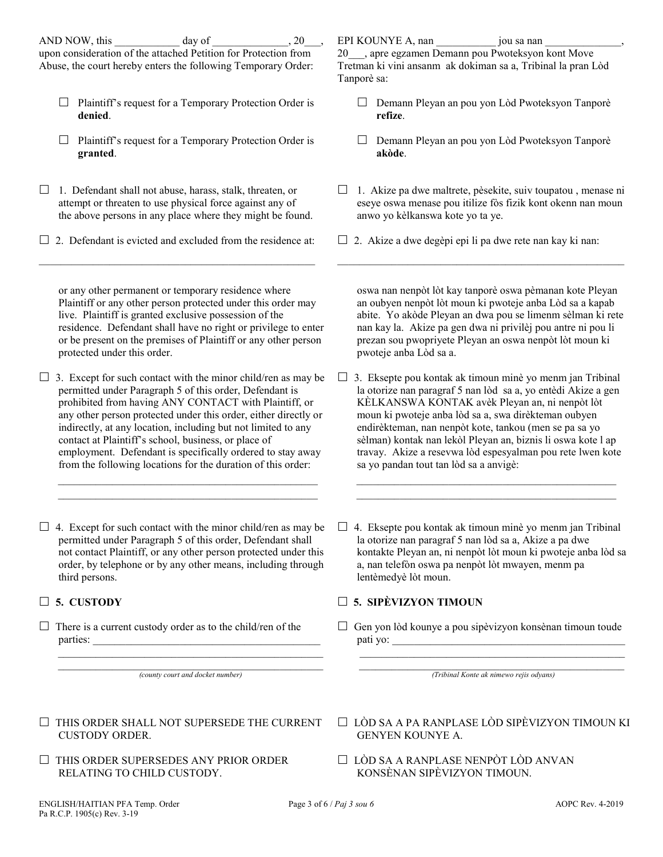upon consideration of the attached Petition for Protection from Abuse, the court hereby enters the following Temporary Order:

- $\Box$  Plaintiff's request for a Temporary Protection Order is **denied**.
- $\Box$  Plaintiff's request for a Temporary Protection Order is **granted**.
- $\Box$  1. Defendant shall not abuse, harass, stalk, threaten, or attempt or threaten to use physical force against any of the above persons in any place where they might be found.
- $\Box$  2. Defendant is evicted and excluded from the residence at:  $\mathcal{L}_\text{max}$  and  $\mathcal{L}_\text{max}$  and  $\mathcal{L}_\text{max}$  and  $\mathcal{L}_\text{max}$  and  $\mathcal{L}_\text{max}$

or any other permanent or temporary residence where Plaintiff or any other person protected under this order may live. Plaintiff is granted exclusive possession of the residence. Defendant shall have no right or privilege to enter or be present on the premises of Plaintiff or any other person protected under this order.

 $\Box$  3. Except for such contact with the minor child/ren as may be permitted under Paragraph 5 of this order, Defendant is prohibited from having ANY CONTACT with Plaintiff, or any other person protected under this order, either directly or indirectly, at any location, including but not limited to any contact at Plaintiff's school, business, or place of employment. Defendant is specifically ordered to stay away from the following locations for the duration of this order:

 $\mathcal{L}_\mathcal{L}$  , which is a set of the set of the set of the set of the set of the set of the set of the set of the set of the set of the set of the set of the set of the set of the set of the set of the set of the set of  $\mathcal{L}_\text{max} = \frac{1}{2} \sum_{i=1}^{n} \frac{1}{2} \sum_{i=1}^{n} \frac{1}{2} \sum_{i=1}^{n} \frac{1}{2} \sum_{i=1}^{n} \frac{1}{2} \sum_{i=1}^{n} \frac{1}{2} \sum_{i=1}^{n} \frac{1}{2} \sum_{i=1}^{n} \frac{1}{2} \sum_{i=1}^{n} \frac{1}{2} \sum_{i=1}^{n} \frac{1}{2} \sum_{i=1}^{n} \frac{1}{2} \sum_{i=1}^{n} \frac{1}{2} \sum_{i=1}^{n} \frac{1$ 

 $\Box$  4. Except for such contact with the minor child/ren as may be permitted under Paragraph 5 of this order, Defendant shall not contact Plaintiff, or any other person protected under this order, by telephone or by any other means, including through third persons.

 $\Box$  There is a current custody order as to the child/ren of the parties:

 $\mathcal{L}_\text{max} = \frac{1}{2} \sum_{i=1}^{n} \frac{1}{2} \sum_{i=1}^{n} \frac{1}{2} \sum_{i=1}^{n} \frac{1}{2} \sum_{i=1}^{n} \frac{1}{2} \sum_{i=1}^{n} \frac{1}{2} \sum_{i=1}^{n} \frac{1}{2} \sum_{i=1}^{n} \frac{1}{2} \sum_{i=1}^{n} \frac{1}{2} \sum_{i=1}^{n} \frac{1}{2} \sum_{i=1}^{n} \frac{1}{2} \sum_{i=1}^{n} \frac{1}{2} \sum_{i=1}^{n} \frac{1$ *(county court and docket number)*

 $\overline{\phantom{a}}$  ,  $\overline{\phantom{a}}$  ,  $\overline{\phantom{a}}$  ,  $\overline{\phantom{a}}$  ,  $\overline{\phantom{a}}$  ,  $\overline{\phantom{a}}$  ,  $\overline{\phantom{a}}$  ,  $\overline{\phantom{a}}$  ,  $\overline{\phantom{a}}$  ,  $\overline{\phantom{a}}$  ,  $\overline{\phantom{a}}$  ,  $\overline{\phantom{a}}$  ,  $\overline{\phantom{a}}$  ,  $\overline{\phantom{a}}$  ,  $\overline{\phantom{a}}$  ,  $\overline{\phantom{a}}$ 

- $\Box$  THIS ORDER SHALL NOT SUPERSEDE THE CURRENT CUSTODY ORDER.
- $\Box$  THIS ORDER SUPERSEDES ANY PRIOR ORDER RELATING TO CHILD CUSTODY.

ENGLISH/HAITIAN PFA Temp. Order Page 3 of 6 / *Paj 3 sou 6* AOPC Rev. 4-2019 Pa R.C.P. 1905(c) Rev. 3-19

EPI KOUNYE A, nan \_\_\_\_\_\_\_\_\_\_\_ jou sa nan \_\_\_\_\_\_\_\_\_\_\_\_\_\_,

20\_\_\_, apre egzamen Demann pou Pwoteksyon kont Move Tretman ki vini ansanm ak dokiman sa a, Tribinal la pran Lòd Tanporè sa:

- □ Demann Pleyan an pou yon Lòd Pwoteksyon Tanporè **refize**.
- Demann Pleyan an pou yon Lòd Pwoteksyon Tanporè **akòde**.
- $\Box$  1. Akize pa dwe maltrete, pèsekite, suiv toupatou, menase ni eseye oswa menase pou itilize fòs fizik kont okenn nan moun anwo yo kèlkanswa kote yo ta ye.

 $\mathcal{L}_\text{max}$  and  $\mathcal{L}_\text{max}$  and  $\mathcal{L}_\text{max}$  and  $\mathcal{L}_\text{max}$  and  $\mathcal{L}_\text{max}$ 

 $\Box$  2. Akize a dwe degèpi epi li pa dwe rete nan kay ki nan:

oswa nan nenpòt lòt kay tanporè oswa pèmanan kote Pleyan an oubyen nenpòt lòt moun ki pwoteje anba Lòd sa a kapab abite. Yo akòde Pleyan an dwa pou se limenm sèlman ki rete nan kay la. Akize pa gen dwa ni privilèj pou antre ni pou li prezan sou pwopriyete Pleyan an oswa nenpòt lòt moun ki pwoteje anba Lòd sa a.

 $\Box$  3. Eksepte pou kontak ak timoun minè yo menm jan Tribinal la otorize nan paragraf 5 nan lòd sa a, yo entèdi Akize a gen KÈLKANSWA KONTAK avèk Pleyan an, ni nenpòt lòt moun ki pwoteje anba lòd sa a, swa dirèkteman oubyen endirèkteman, nan nenpòt kote, tankou (men se pa sa yo sèlman) kontak nan lekòl Pleyan an, biznis li oswa kote l ap travay. Akize a resevwa lòd espesyalman pou rete lwen kote sa yo pandan tout tan lòd sa a anvigè:

 $\mathcal{L}_\text{max} = \{ \mathcal{L}_\text{max} \mid \mathcal{L}_\text{max} \}$  $\mathcal{L}_\text{max} = \frac{1}{2} \sum_{i=1}^{n} \frac{1}{2} \sum_{i=1}^{n} \frac{1}{2} \sum_{i=1}^{n} \frac{1}{2} \sum_{i=1}^{n} \frac{1}{2} \sum_{i=1}^{n} \frac{1}{2} \sum_{i=1}^{n} \frac{1}{2} \sum_{i=1}^{n} \frac{1}{2} \sum_{i=1}^{n} \frac{1}{2} \sum_{i=1}^{n} \frac{1}{2} \sum_{i=1}^{n} \frac{1}{2} \sum_{i=1}^{n} \frac{1}{2} \sum_{i=1}^{n} \frac{1$ 

 $\Box$  4. Eksepte pou kontak ak timoun minè yo menm jan Tribinal la otorize nan paragraf 5 nan lòd sa a, Akize a pa dwe kontakte Pleyan an, ni nenpòt lòt moun ki pwoteje anba lòd sa a, nan telefòn oswa pa nenpòt lòt mwayen, menm pa lentèmedyè lòt moun.

## **5. CUSTODY 5. SIPÈVIZYON TIMOUN**

 $\Box$  Gen yon lòd kounye a pou sipèvizyon konsènan timoun toude pati yo:

\_\_\_\_\_\_\_\_\_\_\_\_\_\_\_\_\_\_\_\_\_\_\_\_\_\_\_\_\_\_\_\_\_\_\_\_\_\_\_\_\_\_\_\_\_\_\_\_\_ *(Tribinal Konte ak nimewo rejis odyans)*

 $\mathcal{L}_\mathcal{L} = \{ \mathcal{L}_\mathcal{L} = \{ \mathcal{L}_\mathcal{L} = \{ \mathcal{L}_\mathcal{L} = \{ \mathcal{L}_\mathcal{L} = \{ \mathcal{L}_\mathcal{L} = \{ \mathcal{L}_\mathcal{L} = \{ \mathcal{L}_\mathcal{L} = \{ \mathcal{L}_\mathcal{L} = \{ \mathcal{L}_\mathcal{L} = \{ \mathcal{L}_\mathcal{L} = \{ \mathcal{L}_\mathcal{L} = \{ \mathcal{L}_\mathcal{L} = \{ \mathcal{L}_\mathcal{L} = \{ \mathcal{L}_\mathcal{$ 

- LÒD SA A PA RANPLASE LÒD SIPÈVIZYON TIMOUN KI GENYEN KOUNYE A.
- □ LÒD SA A RANPLASE NENPÒT LÒD ANVAN KONSÈNAN SIPÈVIZYON TIMOUN.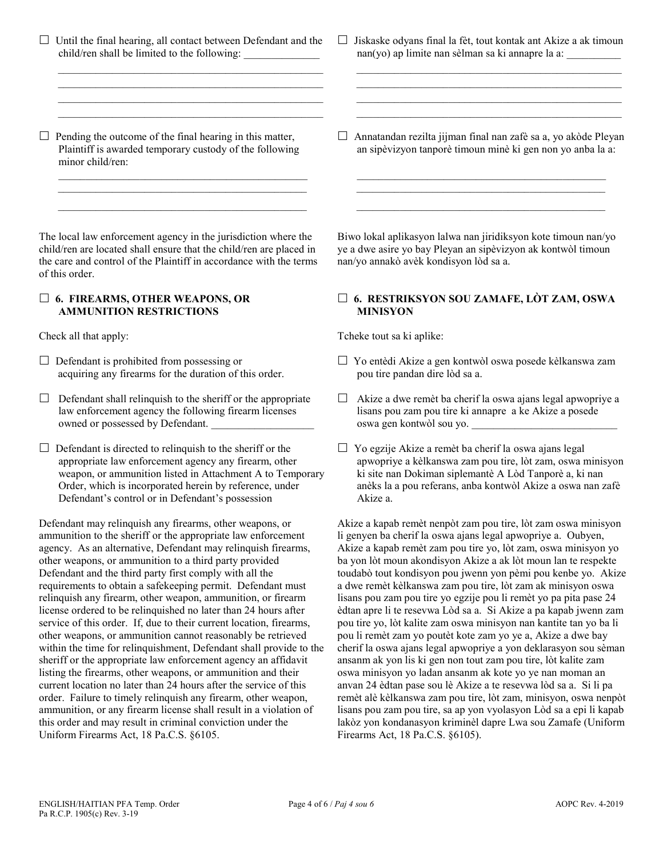$\Box$  Until the final hearing, all contact between Defendant and the child/ren shall be limited to the following:

 $\mathcal{L}_\text{max} = \frac{1}{2} \sum_{i=1}^{n} \frac{1}{2} \sum_{i=1}^{n} \frac{1}{2} \sum_{i=1}^{n} \frac{1}{2} \sum_{i=1}^{n} \frac{1}{2} \sum_{i=1}^{n} \frac{1}{2} \sum_{i=1}^{n} \frac{1}{2} \sum_{i=1}^{n} \frac{1}{2} \sum_{i=1}^{n} \frac{1}{2} \sum_{i=1}^{n} \frac{1}{2} \sum_{i=1}^{n} \frac{1}{2} \sum_{i=1}^{n} \frac{1}{2} \sum_{i=1}^{n} \frac{1$  $\overline{\phantom{a}}$  ,  $\overline{\phantom{a}}$  ,  $\overline{\phantom{a}}$  ,  $\overline{\phantom{a}}$  ,  $\overline{\phantom{a}}$  ,  $\overline{\phantom{a}}$  ,  $\overline{\phantom{a}}$  ,  $\overline{\phantom{a}}$  ,  $\overline{\phantom{a}}$  ,  $\overline{\phantom{a}}$  ,  $\overline{\phantom{a}}$  ,  $\overline{\phantom{a}}$  ,  $\overline{\phantom{a}}$  ,  $\overline{\phantom{a}}$  ,  $\overline{\phantom{a}}$  ,  $\overline{\phantom{a}}$  $\mathcal{L}_\text{max} = \frac{1}{2} \sum_{i=1}^{n} \frac{1}{2} \sum_{i=1}^{n} \frac{1}{2} \sum_{i=1}^{n} \frac{1}{2} \sum_{i=1}^{n} \frac{1}{2} \sum_{i=1}^{n} \frac{1}{2} \sum_{i=1}^{n} \frac{1}{2} \sum_{i=1}^{n} \frac{1}{2} \sum_{i=1}^{n} \frac{1}{2} \sum_{i=1}^{n} \frac{1}{2} \sum_{i=1}^{n} \frac{1}{2} \sum_{i=1}^{n} \frac{1}{2} \sum_{i=1}^{n} \frac{1$  $\mathcal{L}_\text{max}$  , and the set of the set of the set of the set of the set of the set of the set of the set of the set of the set of the set of the set of the set of the set of the set of the set of the set of the set of the

 $\Box$  Pending the outcome of the final hearing in this matter, Plaintiff is awarded temporary custody of the following minor child/ren:

 $\mathcal{L}_\mathcal{L}$  , and the set of the set of the set of the set of the set of the set of the set of the set of the set of the set of the set of the set of the set of the set of the set of the set of the set of the set of th  $\mathcal{L}_\mathcal{L}$  , which is a set of the set of the set of the set of the set of the set of the set of the set of the set of the set of the set of the set of the set of the set of the set of the set of the set of the set of  $\overline{\phantom{a}}$  , and the set of the set of the set of the set of the set of the set of the set of the set of the set of the set of the set of the set of the set of the set of the set of the set of the set of the set of the s

The local law enforcement agency in the jurisdiction where the child/ren are located shall ensure that the child/ren are placed in the care and control of the Plaintiff in accordance with the terms of this order.

### **6. FIREARMS, OTHER WEAPONS, OR AMMUNITION RESTRICTIONS**

- $\Box$  Defendant is prohibited from possessing or acquiring any firearms for the duration of this order.
- $\Box$  Defendant shall relinquish to the sheriff or the appropriate law enforcement agency the following firearm licenses owned or possessed by Defendant.
- $\Box$  Defendant is directed to relinquish to the sheriff or the appropriate law enforcement agency any firearm, other weapon, or ammunition listed in Attachment A to Temporary Order, which is incorporated herein by reference, under Defendant's control or in Defendant's possession

Defendant may relinquish any firearms, other weapons, or ammunition to the sheriff or the appropriate law enforcement agency. As an alternative, Defendant may relinquish firearms, other weapons, or ammunition to a third party provided Defendant and the third party first comply with all the requirements to obtain a safekeeping permit. Defendant must relinquish any firearm, other weapon, ammunition, or firearm license ordered to be relinquished no later than 24 hours after service of this order. If, due to their current location, firearms, other weapons, or ammunition cannot reasonably be retrieved within the time for relinquishment, Defendant shall provide to the sheriff or the appropriate law enforcement agency an affidavit listing the firearms, other weapons, or ammunition and their current location no later than 24 hours after the service of this order. Failure to timely relinquish any firearm, other weapon, ammunition, or any firearm license shall result in a violation of this order and may result in criminal conviction under the Uniform Firearms Act, 18 Pa.C.S. §6105.

 $\Box$  Jiskaske odyans final la fèt, tout kontak ant Akize a ak timoun nan(yo) ap limite nan sèlman sa ki annapre la a:

 $\mathcal{L}_\text{max} = \frac{1}{2} \sum_{i=1}^{n} \frac{1}{2} \sum_{i=1}^{n} \frac{1}{2} \sum_{i=1}^{n} \frac{1}{2} \sum_{i=1}^{n} \frac{1}{2} \sum_{i=1}^{n} \frac{1}{2} \sum_{i=1}^{n} \frac{1}{2} \sum_{i=1}^{n} \frac{1}{2} \sum_{i=1}^{n} \frac{1}{2} \sum_{i=1}^{n} \frac{1}{2} \sum_{i=1}^{n} \frac{1}{2} \sum_{i=1}^{n} \frac{1}{2} \sum_{i=1}^{n} \frac{1$  $\mathcal{L}_\text{max} = \mathcal{L}_\text{max} = \mathcal{L}_\text{max} = \mathcal{L}_\text{max} = \mathcal{L}_\text{max} = \mathcal{L}_\text{max} = \mathcal{L}_\text{max} = \mathcal{L}_\text{max} = \mathcal{L}_\text{max} = \mathcal{L}_\text{max} = \mathcal{L}_\text{max} = \mathcal{L}_\text{max} = \mathcal{L}_\text{max} = \mathcal{L}_\text{max} = \mathcal{L}_\text{max} = \mathcal{L}_\text{max} = \mathcal{L}_\text{max} = \mathcal{L}_\text{max} = \mathcal{$  $\mathcal{L}_\text{max} = \frac{1}{2} \sum_{i=1}^{n} \frac{1}{2} \sum_{i=1}^{n} \frac{1}{2} \sum_{i=1}^{n} \frac{1}{2} \sum_{i=1}^{n} \frac{1}{2} \sum_{i=1}^{n} \frac{1}{2} \sum_{i=1}^{n} \frac{1}{2} \sum_{i=1}^{n} \frac{1}{2} \sum_{i=1}^{n} \frac{1}{2} \sum_{i=1}^{n} \frac{1}{2} \sum_{i=1}^{n} \frac{1}{2} \sum_{i=1}^{n} \frac{1}{2} \sum_{i=1}^{n} \frac{1$  $\mathcal{L}_\text{max} = \mathcal{L}_\text{max} = \mathcal{L}_\text{max} = \mathcal{L}_\text{max} = \mathcal{L}_\text{max} = \mathcal{L}_\text{max} = \mathcal{L}_\text{max} = \mathcal{L}_\text{max} = \mathcal{L}_\text{max} = \mathcal{L}_\text{max} = \mathcal{L}_\text{max} = \mathcal{L}_\text{max} = \mathcal{L}_\text{max} = \mathcal{L}_\text{max} = \mathcal{L}_\text{max} = \mathcal{L}_\text{max} = \mathcal{L}_\text{max} = \mathcal{L}_\text{max} = \mathcal{$ 

 Annatandan rezilta jijman final nan zafè sa a, yo akòde Pleyan an sipèvizyon tanporè timoun minè ki gen non yo anba la a:

 $\mathcal{L}_\mathcal{L} = \{ \mathcal{L}_\mathcal{L} = \{ \mathcal{L}_\mathcal{L} = \{ \mathcal{L}_\mathcal{L} = \{ \mathcal{L}_\mathcal{L} = \{ \mathcal{L}_\mathcal{L} = \{ \mathcal{L}_\mathcal{L} = \{ \mathcal{L}_\mathcal{L} = \{ \mathcal{L}_\mathcal{L} = \{ \mathcal{L}_\mathcal{L} = \{ \mathcal{L}_\mathcal{L} = \{ \mathcal{L}_\mathcal{L} = \{ \mathcal{L}_\mathcal{L} = \{ \mathcal{L}_\mathcal{L} = \{ \mathcal{L}_\mathcal{$  $\mathcal{L}_\mathcal{L}$  , and the set of the set of the set of the set of the set of the set of the set of the set of the set of the set of the set of the set of the set of the set of the set of the set of the set of the set of th  $\mathcal{L}_\mathcal{L}$  , and the set of the set of the set of the set of the set of the set of the set of the set of the set of the set of the set of the set of the set of the set of the set of the set of the set of the set of th

Biwo lokal aplikasyon lalwa nan jiridiksyon kote timoun nan/yo ye a dwe asire yo bay Pleyan an sipèvizyon ak kontwòl timoun nan/yo annakò avèk kondisyon lòd sa a.

### **6. RESTRIKSYON SOU ZAMAFE, LÒT ZAM, OSWA MINISYON**

Check all that apply: Tcheke tout sa ki aplike:

- Yo entèdi Akize a gen kontwòl oswa posede kèlkanswa zam pou tire pandan dire lòd sa a.
- $\Box$  Akize a dwe remèt ba cherif la oswa ajans legal apwopriye a lisans pou zam pou tire ki annapre a ke Akize a posede oswa gen kontwòl sou yo.
- $\Box$  Yo egzije Akize a remèt ba cherif la oswa ajans legal apwopriye a kèlkanswa zam pou tire, lòt zam, oswa minisyon ki site nan Dokiman siplemantè A Lòd Tanporè a, ki nan anèks la a pou referans, anba kontwòl Akize a oswa nan zafè Akize a.

Akize a kapab remèt nenpòt zam pou tire, lòt zam oswa minisyon li genyen ba cherif la oswa ajans legal apwopriye a. Oubyen, Akize a kapab remèt zam pou tire yo, lòt zam, oswa minisyon yo ba yon lòt moun akondisyon Akize a ak lòt moun lan te respekte toudabò tout kondisyon pou jwenn yon pèmi pou kenbe yo. Akize a dwe remèt kèlkanswa zam pou tire, lòt zam ak minisyon oswa lisans pou zam pou tire yo egzije pou li remèt yo pa pita pase 24 èdtan apre li te resevwa Lòd sa a. Si Akize a pa kapab jwenn zam pou tire yo, lòt kalite zam oswa minisyon nan kantite tan yo ba li pou li remèt zam yo poutèt kote zam yo ye a, Akize a dwe bay cherif la oswa ajans legal apwopriye a yon deklarasyon sou sèman ansanm ak yon lis ki gen non tout zam pou tire, lòt kalite zam oswa minisyon yo ladan ansanm ak kote yo ye nan moman an anvan 24 èdtan pase sou lè Akize a te resevwa lòd sa a. Si li pa remèt alè kèlkanswa zam pou tire, lòt zam, minisyon, oswa nenpòt lisans pou zam pou tire, sa ap yon vyolasyon Lòd sa a epi li kapab lakòz yon kondanasyon kriminèl dapre Lwa sou Zamafe (Uniform Firearms Act, 18 Pa.C.S. §6105).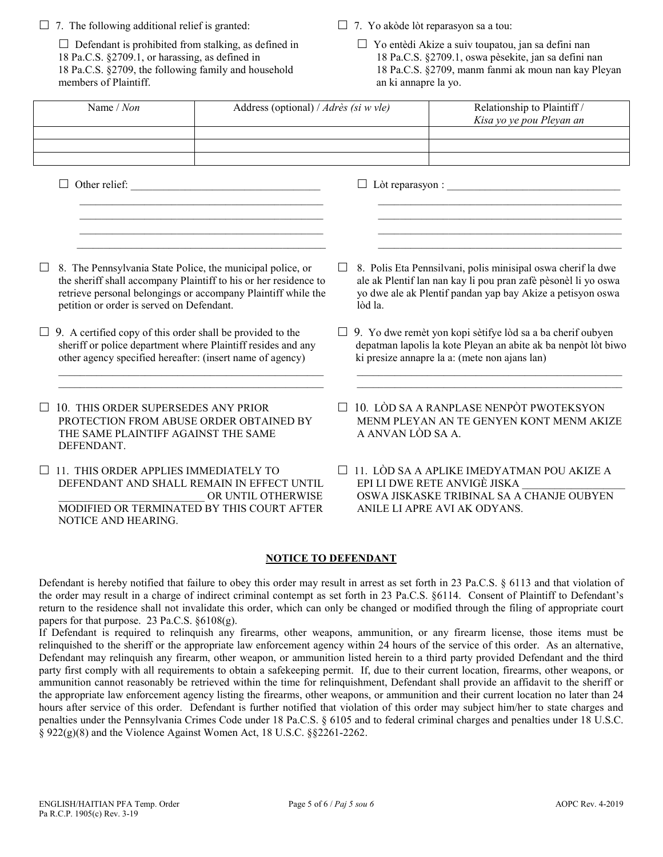| 7. The following additional relief is granted:                                                                                                                                                                                                                                                                          |                                                                                                                                                                                                                                                                                                                                   |                                                                                                                                                                                                         | $\Box$ 7. Yo akòde lòt reparasyon sa a tou:                                                                                                                    |                                                                                                                                                                                                                                                                                                                                                                                                                                                                                                                                                                                                                                                                                                                                                                                                                                                                                                                                                                                                                                                                                                                                                                                                                                                                                                                                                                                                                                                                                                                                                       |  |  |
|-------------------------------------------------------------------------------------------------------------------------------------------------------------------------------------------------------------------------------------------------------------------------------------------------------------------------|-----------------------------------------------------------------------------------------------------------------------------------------------------------------------------------------------------------------------------------------------------------------------------------------------------------------------------------|---------------------------------------------------------------------------------------------------------------------------------------------------------------------------------------------------------|----------------------------------------------------------------------------------------------------------------------------------------------------------------|-------------------------------------------------------------------------------------------------------------------------------------------------------------------------------------------------------------------------------------------------------------------------------------------------------------------------------------------------------------------------------------------------------------------------------------------------------------------------------------------------------------------------------------------------------------------------------------------------------------------------------------------------------------------------------------------------------------------------------------------------------------------------------------------------------------------------------------------------------------------------------------------------------------------------------------------------------------------------------------------------------------------------------------------------------------------------------------------------------------------------------------------------------------------------------------------------------------------------------------------------------------------------------------------------------------------------------------------------------------------------------------------------------------------------------------------------------------------------------------------------------------------------------------------------------|--|--|
| $\Box$ Defendant is prohibited from stalking, as defined in<br>18 Pa.C.S. §2709.1, or harassing, as defined in<br>18 Pa.C.S. §2709, the following family and household<br>members of Plaintiff.                                                                                                                         |                                                                                                                                                                                                                                                                                                                                   | □ Yo entèdi Akize a suiv toupatou, jan sa defini nan<br>18 Pa.C.S. §2709.1, oswa pèsekite, jan sa defini nan<br>18 Pa.C.S. §2709, manm fanmi ak moun nan kay Pleyan<br>an ki annapre la yo.             |                                                                                                                                                                |                                                                                                                                                                                                                                                                                                                                                                                                                                                                                                                                                                                                                                                                                                                                                                                                                                                                                                                                                                                                                                                                                                                                                                                                                                                                                                                                                                                                                                                                                                                                                       |  |  |
| Name / Non<br>Address (optional) / Adrès (si w vle)                                                                                                                                                                                                                                                                     |                                                                                                                                                                                                                                                                                                                                   |                                                                                                                                                                                                         |                                                                                                                                                                | Relationship to Plaintiff /<br>Kisa yo ye pou Pleyan an                                                                                                                                                                                                                                                                                                                                                                                                                                                                                                                                                                                                                                                                                                                                                                                                                                                                                                                                                                                                                                                                                                                                                                                                                                                                                                                                                                                                                                                                                               |  |  |
|                                                                                                                                                                                                                                                                                                                         |                                                                                                                                                                                                                                                                                                                                   |                                                                                                                                                                                                         |                                                                                                                                                                |                                                                                                                                                                                                                                                                                                                                                                                                                                                                                                                                                                                                                                                                                                                                                                                                                                                                                                                                                                                                                                                                                                                                                                                                                                                                                                                                                                                                                                                                                                                                                       |  |  |
|                                                                                                                                                                                                                                                                                                                         |                                                                                                                                                                                                                                                                                                                                   |                                                                                                                                                                                                         |                                                                                                                                                                |                                                                                                                                                                                                                                                                                                                                                                                                                                                                                                                                                                                                                                                                                                                                                                                                                                                                                                                                                                                                                                                                                                                                                                                                                                                                                                                                                                                                                                                                                                                                                       |  |  |
|                                                                                                                                                                                                                                                                                                                         | <u> 1989 - Johann Harry Harry Harry Harry Harry Harry Harry Harry Harry Harry Harry Harry Harry Harry Harry Harry Harry Harry Harry Harry Harry Harry Harry Harry Harry Harry Harry Harry Harry Harry Harry Harry Harry Harry Ha</u><br>the control of the control of the control of the control of the control of the control of |                                                                                                                                                                                                         |                                                                                                                                                                |                                                                                                                                                                                                                                                                                                                                                                                                                                                                                                                                                                                                                                                                                                                                                                                                                                                                                                                                                                                                                                                                                                                                                                                                                                                                                                                                                                                                                                                                                                                                                       |  |  |
| 8. The Pennsylvania State Police, the municipal police, or<br>the sheriff shall accompany Plaintiff to his or her residence to<br>retrieve personal belongings or accompany Plaintiff while the<br>petition or order is served on Defendant.                                                                            |                                                                                                                                                                                                                                                                                                                                   | 8. Polis Eta Pennsilvani, polis minisipal oswa cherif la dwe<br>ale ak Plentif lan nan kay li pou pran zafè pèsonèl li yo oswa<br>yo dwe ale ak Plentif pandan yap bay Akize a petisyon oswa<br>lòd la. |                                                                                                                                                                |                                                                                                                                                                                                                                                                                                                                                                                                                                                                                                                                                                                                                                                                                                                                                                                                                                                                                                                                                                                                                                                                                                                                                                                                                                                                                                                                                                                                                                                                                                                                                       |  |  |
| 9. A certified copy of this order shall be provided to the<br>sheriff or police department where Plaintiff resides and any<br>other agency specified hereafter: (insert name of agency)                                                                                                                                 |                                                                                                                                                                                                                                                                                                                                   | $\Box$ 9. Yo dwe remèt yon kopi sètifye lòd sa a ba cherif oubyen<br>depatman lapolis la kote Pleyan an abite ak ba nenpòt lòt biwo<br>ki presize annapre la a: (mete non ajans lan)                    |                                                                                                                                                                |                                                                                                                                                                                                                                                                                                                                                                                                                                                                                                                                                                                                                                                                                                                                                                                                                                                                                                                                                                                                                                                                                                                                                                                                                                                                                                                                                                                                                                                                                                                                                       |  |  |
| 10. THIS ORDER SUPERSEDES ANY PRIOR<br>PROTECTION FROM ABUSE ORDER OBTAINED BY<br>THE SAME PLAINTIFF AGAINST THE SAME<br>DEFENDANT.                                                                                                                                                                                     |                                                                                                                                                                                                                                                                                                                                   | 10. LÒD SA A RANPLASE NENPÒT PWOTEKSYON<br>MENM PLEYAN AN TE GENYEN KONT MENM AKIZE<br>A ANVAN LÒD SA A.                                                                                                |                                                                                                                                                                |                                                                                                                                                                                                                                                                                                                                                                                                                                                                                                                                                                                                                                                                                                                                                                                                                                                                                                                                                                                                                                                                                                                                                                                                                                                                                                                                                                                                                                                                                                                                                       |  |  |
| 11. THIS ORDER APPLIES IMMEDIATELY TO<br>DEFENDANT AND SHALL REMAIN IN EFFECT UNTIL<br>$\fbox{\parbox{1.5cm} \begin{tabular}{l} \multicolumn{2}{c}{\textbf{OR}\textbf{UNTIL} OTHERWISE} \end{tabular}} \begin{tabular}{l} \multicolumn{2}{c}{\textbf{OR}\textbf{UNTIL} OTHERWISE} \end{tabular}$<br>NOTICE AND HEARING. |                                                                                                                                                                                                                                                                                                                                   |                                                                                                                                                                                                         | $\Box$ 11. LÒD SA A APLIKE IMEDYATMAN POU AKIZE A<br>EPI LI DWE RETE ANVIGÈ JISKA<br>OSWA JISKASKE TRIBINAL SA A CHANJE OUBYEN<br>ANILE LI APRE AVI AK ODYANS. |                                                                                                                                                                                                                                                                                                                                                                                                                                                                                                                                                                                                                                                                                                                                                                                                                                                                                                                                                                                                                                                                                                                                                                                                                                                                                                                                                                                                                                                                                                                                                       |  |  |
|                                                                                                                                                                                                                                                                                                                         | <b>NOTICE TO DEFENDANT</b>                                                                                                                                                                                                                                                                                                        |                                                                                                                                                                                                         |                                                                                                                                                                |                                                                                                                                                                                                                                                                                                                                                                                                                                                                                                                                                                                                                                                                                                                                                                                                                                                                                                                                                                                                                                                                                                                                                                                                                                                                                                                                                                                                                                                                                                                                                       |  |  |
| papers for that purpose. 23 Pa.C.S. $§6108(g)$ .                                                                                                                                                                                                                                                                        |                                                                                                                                                                                                                                                                                                                                   |                                                                                                                                                                                                         |                                                                                                                                                                | Defendant is hereby notified that failure to obey this order may result in arrest as set forth in 23 Pa.C.S. § 6113 and that violation of<br>the order may result in a charge of indirect criminal contempt as set forth in 23 Pa.C.S. §6114. Consent of Plaintiff to Defendant's<br>return to the residence shall not invalidate this order, which can only be changed or modified through the filing of appropriate court<br>If Defendant is required to relinquish any firearms, other weapons, ammunition, or any firearm license, those items must be<br>relinquished to the sheriff or the appropriate law enforcement agency within 24 hours of the service of this order. As an alternative,<br>Defendant may relinquish any firearm, other weapon, or ammunition listed herein to a third party provided Defendant and the third<br>party first comply with all requirements to obtain a safekeeping permit. If, due to their current location, firearms, other weapons, or<br>ammunition cannot reasonably be retrieved within the time for relinquishment, Defendant shall provide an affidavit to the sheriff or<br>the appropriate law enforcement agency listing the firearms, other weapons, or ammunition and their current location no later than 24<br>hours after service of this order. Defendant is further notified that violation of this order may subject him/her to state charges and<br>penalties under the Pennsylvania Crimes Code under 18 Pa.C.S. § 6105 and to federal criminal charges and penalties under 18 U.S.C. |  |  |

§ 922(g)(8) and the Violence Against Women Act, 18 U.S.C. §§2261-2262.